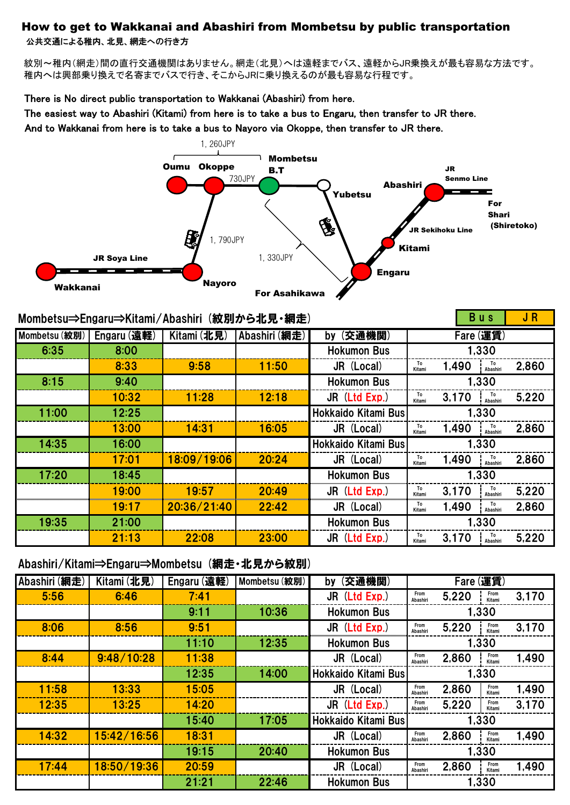## How to get to Wakkanai and Abashiri from Mombetsu by public transportation

公共交通による稚内、北見、網走への行き方

 紋別~稚内(網走)間の直行交通機関はありません。網走(北見)へは遠軽までバス、遠軽からJR乗換えが最も容易な方法です。 稚内へは興部乗り換えで名寄までバスで行き、そこからJRに乗り換えるのが最も容易な行程です。

There is No direct public transportation to Wakkanai (Abashiri) from here.

The easiest way to Abashiri (Kitami) from here is to take a bus to Engaru, then transfer to JR there.



Bus JR

Mombetsu⇒Engaru⇒Kitami/Abashiri (紋別から北見・網走)

| Mombetsu (紋別) | Engaru (遠軽) | Kitami (北見) | Abashiri (網走) | by (交通機関)           | Fare (運賃)    |                         |       |
|---------------|-------------|-------------|---------------|---------------------|--------------|-------------------------|-------|
| 6:35          | 8:00        |             |               | <b>Hokumon Bus</b>  | 1,330        |                         |       |
|               | 8:33        | 9:58        | 11:50         | JR (Local)          | To<br>Kitami | To<br>Abashiri<br>1,490 | 2,860 |
| 8:15          | 9:40        |             |               | <b>Hokumon Bus</b>  | 1,330        |                         |       |
|               | 10:32       | 11:28       | 12:18         | JR (Ltd Exp.)       | To<br>Kitami | To<br>Abashiri<br>3,170 | 5,220 |
| 11:00         | 12:25       |             |               | Hokkaido Kitami Bus | 1,330        |                         |       |
|               | 13:00       | 14:31       | 16:05         | JR (Local)          | To<br>Kitami | To<br>Abashiri<br>1,490 | 2,860 |
| 14:35         | 16:00       |             |               | Hokkaido Kitami Bus | 1,330        |                         |       |
|               | 17:01       | 18:09/19:06 | 20:24         | JR (Local)          | To<br>Kitami | To<br>Abashiri<br>1,490 | 2,860 |
| 17:20         | 18:45       |             |               | <b>Hokumon Bus</b>  | 1,330        |                         |       |
|               | 19:00       | 19:57       | 20:49         | JR (Ltd Exp.)       | To<br>Kitami | To<br>Abashiri<br>3,170 | 5,220 |
|               | 19:17       | 20:36/21:40 | 22:42         | JR (Local)          | To<br>Kitami | To<br>Abashiri<br>1,490 | 2,860 |
| 19:35         | 21:00       |             |               | <b>Hokumon Bus</b>  |              | 1,330                   |       |
|               | 21:13       | 22:08       | 23:00         | JR (Ltd Exp.)       | To<br>Kitami | To<br>Abashiri<br>3,170 | 5,220 |

## Abashiri/Kitami⇒Engaru⇒Mombetsu (網走・北見から紋別)

| Abashiri (網走) | Kitami (北見) | Engaru (遠軽) | Mombetsu (紋別) | (交通機関)<br>by        | Fare (運賃)                                                   |  |
|---------------|-------------|-------------|---------------|---------------------|-------------------------------------------------------------|--|
| 5:56          | 6:46        | 7:41        |               | JR (Ltd Exp.)       | From<br>From<br>Kitami<br>5,220<br>3,170<br>Abashiri        |  |
|               |             | 9:11        | 10:36         | <b>Hokumon Bus</b>  | 1,330                                                       |  |
| 8:06          | 8:56        | 9:51        |               | JR (Ltd Exp.)       | From<br>Abashiri<br>From<br>Kitami<br>3,170<br>5,220        |  |
|               |             | 11:10       | 12:35         | <b>Hokumon Bus</b>  | 1,330                                                       |  |
| 8:44          | 9:48/10:28  | 11:38       |               | JR (Local)          | From<br>From<br>1,490<br>2,860<br>Kitami<br>Abashiri        |  |
|               |             | 12:35       | 14:00         | Hokkaido Kitami Bus | 1,330                                                       |  |
| 11:58         | 13:33       | 15:05       |               | JR (Local)          | From<br>From<br>Kitami<br>1,490<br>2,860<br>Abashiri        |  |
| 12:35         | 13:25       | 14:20       |               | JR (Ltd Exp.)       | <b>From</b><br>From<br>Kitami<br>3,170<br>5,220<br>Abashiri |  |
|               |             | 15:40       | 17:05         | Hokkaido Kitami Bus | 1,330                                                       |  |
| 14:32         | 15:42/16:56 | 18:31       |               | JR (Local)          | From<br>From<br>Kitami<br>1,490<br>2,860<br>Abashiri        |  |
|               |             | 19:15       | 20:40         | <b>Hokumon Bus</b>  | 1,330                                                       |  |
| 17:44         | 18:50/19:36 | 20:59       |               | JR (Local)          | From<br>From<br>1,490<br>2,860<br>Abashiri<br>Kitami        |  |
|               |             | 21:21       | 22:46         | <b>Hokumon Bus</b>  | 1.330                                                       |  |